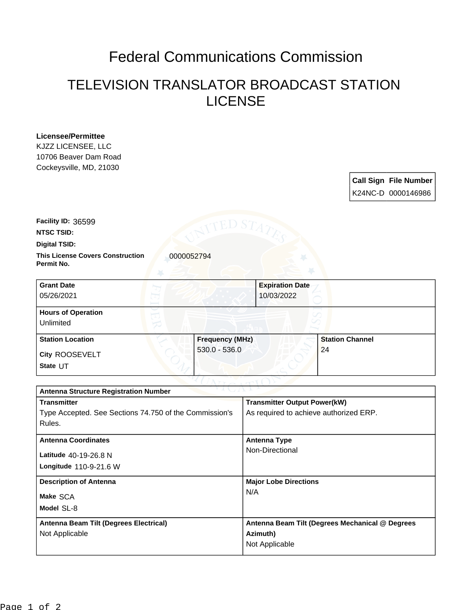## Federal Communications Commission

## TELEVISION TRANSLATOR BROADCAST STATION LICENSE

| <b>Licensee/Permittee</b> |  |  |
|---------------------------|--|--|
| KJZZ LICENSEE, LLC        |  |  |
| 10706 Beaver Dam Road     |  |  |
| Cockeysville, MD, 21030   |  |  |

| <b>Call Sign File Number</b> |
|------------------------------|
| K24NC-D 0000146986           |

**Facility ID:** 36599

**NTSC TSID:**

**Digital TSID:**

**This License Covers Construction** 0000052794 **Permit No.**

| <b>Grant Date</b><br>05/26/2021        |                        | <b>Expiration Date</b><br>10/03/2022 |
|----------------------------------------|------------------------|--------------------------------------|
| <b>Hours of Operation</b><br>Unlimited |                        |                                      |
| <b>Station Location</b>                | <b>Frequency (MHz)</b> | <b>Station Channel</b>               |
| City ROOSEVELT<br>State UT             | $530.0 - 536.0$        | 24                                   |

| <b>Antenna Structure Registration Number</b>           |                                                 |  |  |  |
|--------------------------------------------------------|-------------------------------------------------|--|--|--|
| <b>Transmitter</b>                                     | <b>Transmitter Output Power(kW)</b>             |  |  |  |
| Type Accepted. See Sections 74.750 of the Commission's | As required to achieve authorized ERP.          |  |  |  |
| Rules.                                                 |                                                 |  |  |  |
| <b>Antenna Coordinates</b>                             | Antenna Type                                    |  |  |  |
| Latitude 40-19-26.8 N                                  | Non-Directional                                 |  |  |  |
| Longitude $110-9-21.6$ W                               |                                                 |  |  |  |
| <b>Description of Antenna</b>                          | <b>Major Lobe Directions</b>                    |  |  |  |
| Make SCA                                               | N/A                                             |  |  |  |
| Model SL-8                                             |                                                 |  |  |  |
| Antenna Beam Tilt (Degrees Electrical)                 | Antenna Beam Tilt (Degrees Mechanical @ Degrees |  |  |  |
| Not Applicable                                         | Azimuth)                                        |  |  |  |
|                                                        | Not Applicable                                  |  |  |  |
|                                                        |                                                 |  |  |  |